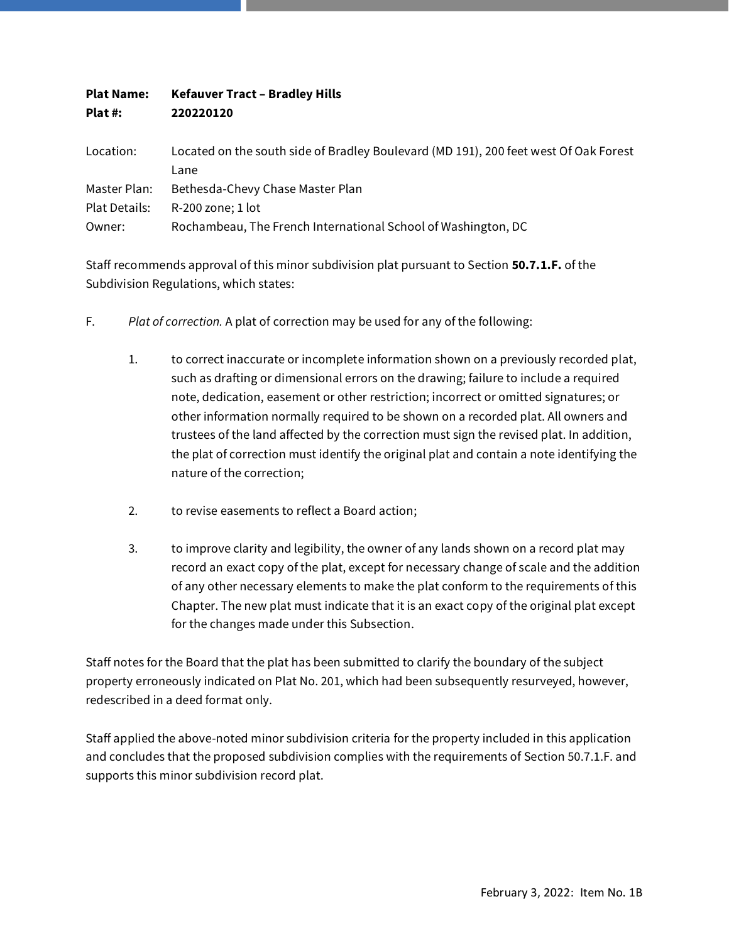| <b>Plat Name:</b><br>Plat #: | <b>Kefauver Tract - Bradley Hills</b><br>220220120            |
|------------------------------|---------------------------------------------------------------|
|                              |                                                               |
| Lane                         |                                                               |
| Master Plan:                 | Bethesda-Chevy Chase Master Plan                              |
| Plat Details:                | R-200 zone; 1 lot                                             |
| Owner:                       | Rochambeau, The French International School of Washington, DC |

Staff recommends approval of this minor subdivision plat pursuant to Section **50.7.1.F.** of the Subdivision Regulations, which states:

- F. *Plat of correction.* A plat of correction may be used for any of the following:
	- 1. to correct inaccurate or incomplete information shown on a previously recorded plat, such as drafting or dimensional errors on the drawing; failure to include a required note, dedication, easement or other restriction; incorrect or omitted signatures; or other information normally required to be shown on a recorded plat. All owners and trustees of the land affected by the correction must sign the revised plat. In addition, the plat of correction must identify the original plat and contain a note identifying the nature of the correction;
	- 2. to revise easements to reflect a Board action;
	- 3. to improve clarity and legibility, the owner of any lands shown on a record plat may record an exact copy of the plat, except for necessary change of scale and the addition of any other necessary elements to make the plat conform to the requirements of this Chapter. The new plat must indicate that it is an exact copy of the original plat except for the changes made under this Subsection.

Staff notes for the Board that the plat has been submitted to clarify the boundary of the subject property erroneously indicated on Plat No. 201, which had been subsequently resurveyed, however, redescribed in a deed format only.

Staff applied the above-noted minor subdivision criteria for the property included in this application and concludes that the proposed subdivision complies with the requirements of Section 50.7.1.F. and supports this minor subdivision record plat.